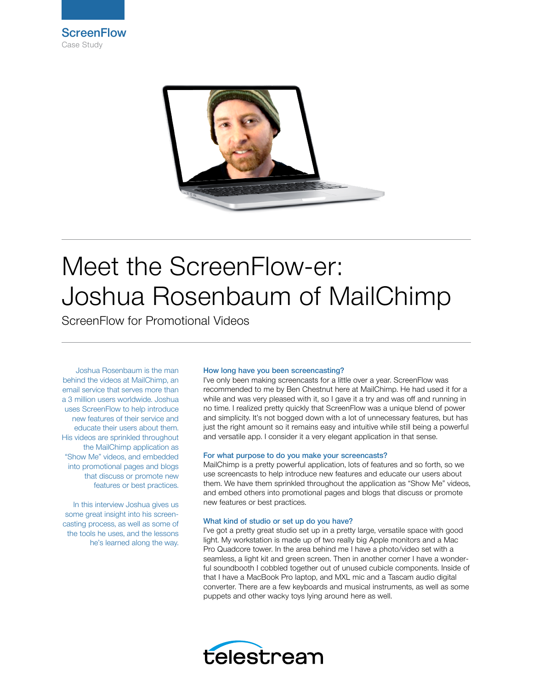



# Meet the ScreenFlow-er: Joshua Rosenbaum of MailChimp

ScreenFlow for Promotional Videos

Joshua Rosenbaum is the man behind the videos at MailChimp, an email service that serves more than a 3 million users worldwide. Joshua uses ScreenFlow to help introduce new features of their service and educate their users about them. His videos are sprinkled throughout the MailChimp application as "Show Me" videos, and embedded into promotional pages and blogs that discuss or promote new features or best practices.

In this interview Joshua gives us some great insight into his screencasting process, as well as some of the tools he uses, and the lessons he's learned along the way.

## How long have you been screencasting?

I've only been making screencasts for a little over a year. ScreenFlow was recommended to me by Ben Chestnut here at MailChimp. He had used it for a while and was very pleased with it, so I gave it a try and was off and running in no time. I realized pretty quickly that ScreenFlow was a unique blend of power and simplicity. It's not bogged down with a lot of unnecessary features, but has just the right amount so it remains easy and intuitive while still being a powerful and versatile app. I consider it a very elegant application in that sense.

## For what purpose to do you make your screencasts?

MailChimp is a pretty powerful application, lots of features and so forth, so we use screencasts to help introduce new features and educate our users about them. We have them sprinkled throughout the application as "Show Me" videos, and embed others into promotional pages and blogs that discuss or promote new features or best practices.

## What kind of studio or set up do you have?

I've got a pretty great studio set up in a pretty large, versatile space with good light. My workstation is made up of two really big Apple monitors and a Mac Pro Quadcore tower. In the area behind me I have a photo/video set with a seamless, a light kit and green screen. Then in another corner I have a wonderful soundbooth I cobbled together out of unused cubicle components. Inside of that I have a MacBook Pro laptop, and MXL mic and a Tascam audio digital converter. There are a few keyboards and musical instruments, as well as some puppets and other wacky toys lying around here as well.